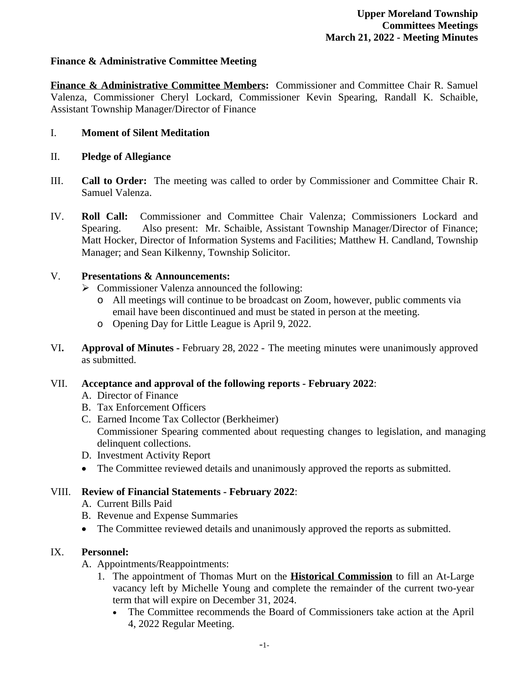### **Finance & Administrative Committee Meeting**

**Finance & Administrative Committee Members:** Commissioner and Committee Chair R. Samuel Valenza, Commissioner Cheryl Lockard, Commissioner Kevin Spearing, Randall K. Schaible, Assistant Township Manager/Director of Finance

### I. **Moment of Silent Meditation**

- II. **Pledge of Allegiance**
- III. **Call to Order:** The meeting was called to order by Commissioner and Committee Chair R. Samuel Valenza.
- IV. **Roll Call:** Commissioner and Committee Chair Valenza; Commissioners Lockard and Spearing. Also present: Mr. Schaible, Assistant Township Manager/Director of Finance; Matt Hocker, Director of Information Systems and Facilities; Matthew H. Candland, Township Manager; and Sean Kilkenny, Township Solicitor.

### V. **Presentations & Announcements:**

- $\triangleright$  Commissioner Valenza announced the following:
	- o All meetings will continue to be broadcast on Zoom, however, public comments via email have been discontinued and must be stated in person at the meeting.
	- o Opening Day for Little League is April 9, 2022.
- VI**. Approval of Minutes** February 28, 2022 The meeting minutes were unanimously approved as submitted.

#### VII. **Acceptance and approval of the following reports - February 2022**:

- A. Director of Finance
- B. Tax Enforcement Officers
- C. Earned Income Tax Collector (Berkheimer) Commissioner Spearing commented about requesting changes to legislation, and managing delinquent collections.
- D. Investment Activity Report
- The Committee reviewed details and unanimously approved the reports as submitted.

# VIII. **Review of Financial Statements - February 2022**:

- A. Current Bills Paid
- B. Revenue and Expense Summaries
- The Committee reviewed details and unanimously approved the reports as submitted.

# IX. **Personnel:**

- A. Appointments/Reappointments:
	- 1. The appointment of Thomas Murt on the **Historical Commission** to fill an At-Large vacancy left by Michelle Young and complete the remainder of the current two-year term that will expire on December 31, 2024.
		- The Committee recommends the Board of Commissioners take action at the April 4, 2022 Regular Meeting.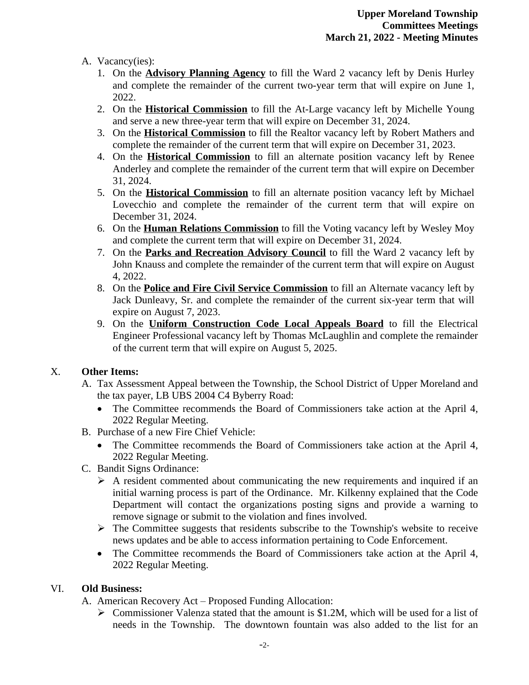### A. Vacancy(ies):

- 1. On the **Advisory Planning Agency** to fill the Ward 2 vacancy left by Denis Hurley and complete the remainder of the current two-year term that will expire on June 1, 2022.
- 2. On the **Historical Commission** to fill the At-Large vacancy left by Michelle Young and serve a new three-year term that will expire on December 31, 2024.
- 3. On the **Historical Commission** to fill the Realtor vacancy left by Robert Mathers and complete the remainder of the current term that will expire on December 31, 2023.
- 4. On the **Historical Commission** to fill an alternate position vacancy left by Renee Anderley and complete the remainder of the current term that will expire on December 31, 2024.
- 5. On the **Historical Commission** to fill an alternate position vacancy left by Michael Lovecchio and complete the remainder of the current term that will expire on December 31, 2024.
- 6. On the **Human Relations Commission** to fill the Voting vacancy left by Wesley Moy and complete the current term that will expire on December 31, 2024.
- 7. On the **Parks and Recreation Advisory Council** to fill the Ward 2 vacancy left by John Knauss and complete the remainder of the current term that will expire on August 4, 2022.
- 8. On the **Police and Fire Civil Service Commission** to fill an Alternate vacancy left by Jack Dunleavy, Sr. and complete the remainder of the current six-year term that will expire on August 7, 2023.
- 9. On the **Uniform Construction Code Local Appeals Board** to fill the Electrical Engineer Professional vacancy left by Thomas McLaughlin and complete the remainder of the current term that will expire on August 5, 2025.

# X. **Other Items:**

- A. Tax Assessment Appeal between the Township, the School District of Upper Moreland and the tax payer, LB UBS 2004 C4 Byberry Road:
	- The Committee recommends the Board of Commissioners take action at the April 4, 2022 Regular Meeting.
- B. Purchase of a new Fire Chief Vehicle:
	- The Committee recommends the Board of Commissioners take action at the April 4, 2022 Regular Meeting.
- C. Bandit Signs Ordinance:
	- $\triangleright$  A resident commented about communicating the new requirements and inquired if an initial warning process is part of the Ordinance. Mr. Kilkenny explained that the Code Department will contact the organizations posting signs and provide a warning to remove signage or submit to the violation and fines involved.
	- $\triangleright$  The Committee suggests that residents subscribe to the Township's website to receive news updates and be able to access information pertaining to Code Enforcement.
	- The Committee recommends the Board of Commissioners take action at the April 4, 2022 Regular Meeting.

#### VI. **Old Business:**

A. American Recovery Act – Proposed Funding Allocation:

 $\triangleright$  Commissioner Valenza stated that the amount is \$1.2M, which will be used for a list of needs in the Township. The downtown fountain was also added to the list for an